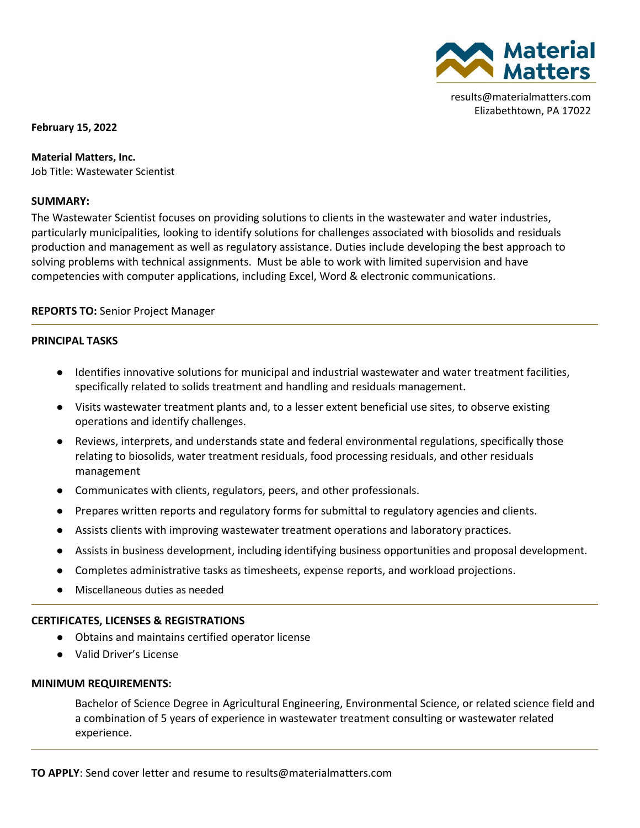

results@materialmatters.com Elizabethtown, PA 17022

**February 15, 2022**

**Material Matters, Inc.** Job Title: Wastewater Scientist

### **SUMMARY:**

The Wastewater Scientist focuses on providing solutions to clients in the wastewater and water industries, particularly municipalities, looking to identify solutions for challenges associated with biosolids and residuals production and management as well as regulatory assistance. Duties include developing the best approach to solving problems with technical assignments. Must be able to work with limited supervision and have competencies with computer applications, including Excel, Word & electronic communications.

# **REPORTS TO:** Senior Project Manager

### **PRINCIPAL TASKS**

- Identifies innovative solutions for municipal and industrial wastewater and water treatment facilities, specifically related to solids treatment and handling and residuals management.
- Visits wastewater treatment plants and, to a lesser extent beneficial use sites, to observe existing operations and identify challenges.
- Reviews, interprets, and understands state and federal environmental regulations, specifically those relating to biosolids, water treatment residuals, food processing residuals, and other residuals management
- Communicates with clients, regulators, peers, and other professionals.
- Prepares written reports and regulatory forms for submittal to regulatory agencies and clients.
- Assists clients with improving wastewater treatment operations and laboratory practices.
- Assists in business development, including identifying business opportunities and proposal development.
- Completes administrative tasks as timesheets, expense reports, and workload projections.
- Miscellaneous duties as needed

#### **CERTIFICATES, LICENSES & REGISTRATIONS**

- Obtains and maintains certified operator license
- Valid Driver's License

#### **MINIMUM REQUIREMENTS:**

Bachelor of Science Degree in Agricultural Engineering, Environmental Science, or related science field and a combination of 5 years of experience in wastewater treatment consulting or wastewater related experience.